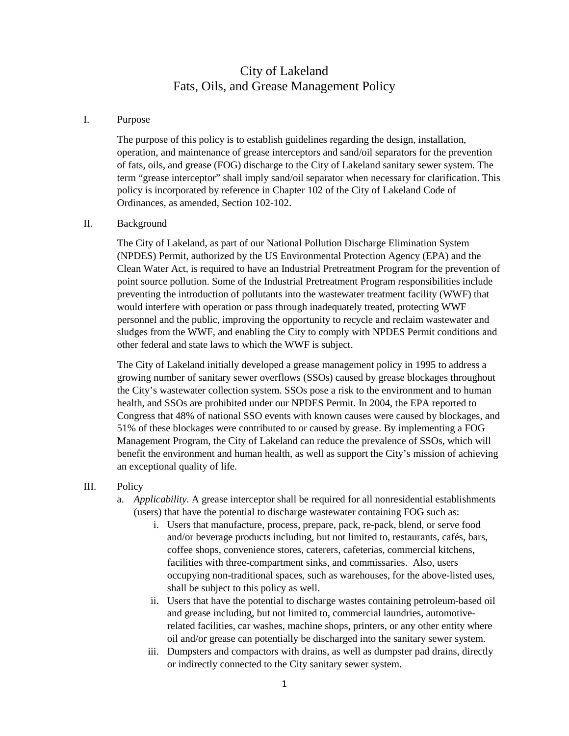# City of Lakeland Fats, Oils, and Grease Management Policy

### I. Purpose

The purpose of this policy is to establish guidelines regarding the design, installation, operation, and maintenance of grease interceptors and sand/oil separators for the prevention of fats, oils, and grease (FOG) discharge to the City of Lakeland sanitary sewer system. The term "grease interceptor" shall imply sand/oil separator when necessary for clarification. This policy is incorporated by reference in Chapter 102 of the City of Lakeland Code of Ordinances, as amended, Section 102-102.

### II. Background

The City of Lakeland, as part of our National Pollution Discharge Elimination System (NPDES) Permit, authorized by the US Environmental Protection Agency (EPA) and the Clean Water Act, is required to have an Industrial Pretreatment Program for the prevention of point source pollution. Some of the Industrial Pretreatment Program responsibilities include preventing the introduction of pollutants into the wastewater treatment facility (WWF) that would interfere with operation or pass through inadequately treated, protecting WWF personnel and the public, improving the opportunity to recycle and reclaim wastewater and sludges from the WWF, and enabling the City to comply with NPDES Permit conditions and other federal and state laws to which the WWF is subject.

The City of Lakeland initially developed a grease management policy in 1995 to address a growing number of sanitary sewer overflows (SSOs) caused by grease blockages throughout the City's wastewater collection system. SSOs pose a risk to the environment and to human health, and SSOs are prohibited under our NPDES Permit. In 2004, the EPA reported to Congress that 48% of national SSO events with known causes were caused by blockages, and 51% of these blockages were contributed to or caused by grease. By implementing a FOG Management Program, the City of Lakeland can reduce the prevalence of SSOs, which will benefit the environment and human health, as well as support the City's mission of achieving an exceptional quality of life.

### III. Policy

- a. *Applicability*. A grease interceptor shall be required for all nonresidential establishments (users) that have the potential to discharge wastewater containing FOG such as:
	- i. Users that manufacture, process, prepare, pack, re-pack, blend, or serve food and/or beverage products including, but not limited to, restaurants, cafés, bars, coffee shops, convenience stores, caterers, cafeterias, commercial kitchens, facilities with three-compartment sinks, and commissaries. Also, users occupying non-traditional spaces, such as warehouses, for the above-listed uses, shall be subject to this policy as well.
	- ii. Users that have the potential to discharge wastes containing petroleum-based oil and grease including, but not limited to, commercial laundries, automotiverelated facilities, car washes, machine shops, printers, or any other entity where oil and/or grease can potentially be discharged into the sanitary sewer system.
	- iii. Dumpsters and compactors with drains, as well as dumpster pad drains, directly or indirectly connected to the City sanitary sewer system.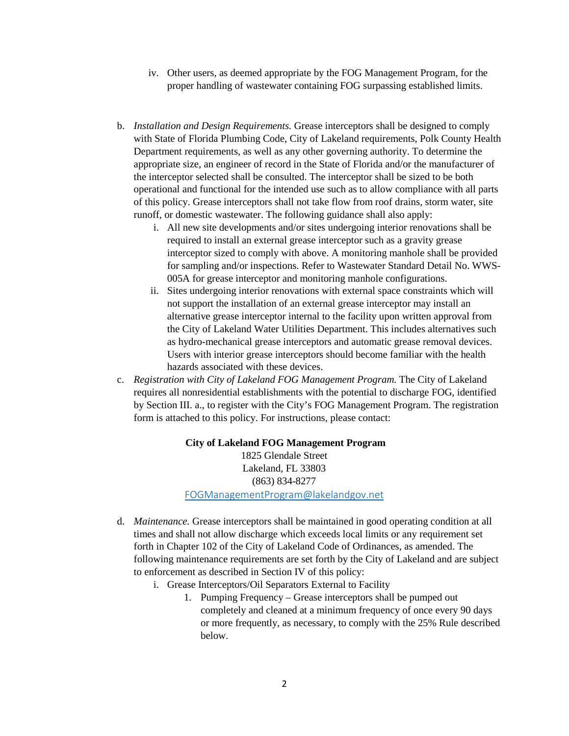- iv. Other users, as deemed appropriate by the FOG Management Program, for the proper handling of wastewater containing FOG surpassing established limits.
- b. *Installation and Design Requirements.* Grease interceptors shall be designed to comply with State of Florida Plumbing Code, City of Lakeland requirements, Polk County Health Department requirements, as well as any other governing authority. To determine the appropriate size, an engineer of record in the State of Florida and/or the manufacturer of the interceptor selected shall be consulted. The interceptor shall be sized to be both operational and functional for the intended use such as to allow compliance with all parts of this policy. Grease interceptors shall not take flow from roof drains, storm water, site runoff, or domestic wastewater. The following guidance shall also apply:
	- i. All new site developments and/or sites undergoing interior renovations shall be required to install an external grease interceptor such as a gravity grease interceptor sized to comply with above. A monitoring manhole shall be provided for sampling and/or inspections. Refer to Wastewater Standard Detail No. WWS-005A for grease interceptor and monitoring manhole configurations.
	- ii. Sites undergoing interior renovations with external space constraints which will not support the installation of an external grease interceptor may install an alternative grease interceptor internal to the facility upon written approval from the City of Lakeland Water Utilities Department. This includes alternatives such as hydro-mechanical grease interceptors and automatic grease removal devices. Users with interior grease interceptors should become familiar with the health hazards associated with these devices.
- c. *Registration with City of Lakeland FOG Management Program.* The City of Lakeland requires all nonresidential establishments with the potential to discharge FOG, identified by Section III. a., to register with the City's FOG Management Program. The registration form is attached to this policy. For instructions, please contact:

**City of Lakeland FOG Management Program** 1825 Glendale Street Lakeland, FL 33803 (863) 834-8277 [FOGManagementProgram@lakelandgov.net](mailto:FOGManagementProgram@lakelandgov.net)

- d. *Maintenance.* Grease interceptors shall be maintained in good operating condition at all times and shall not allow discharge which exceeds local limits or any requirement set forth in Chapter 102 of the City of Lakeland Code of Ordinances, as amended. The following maintenance requirements are set forth by the City of Lakeland and are subject to enforcement as described in Section IV of this policy:
	- i. Grease Interceptors/Oil Separators External to Facility
		- 1. Pumping Frequency Grease interceptors shall be pumped out completely and cleaned at a minimum frequency of once every 90 days or more frequently, as necessary, to comply with the 25% Rule described below.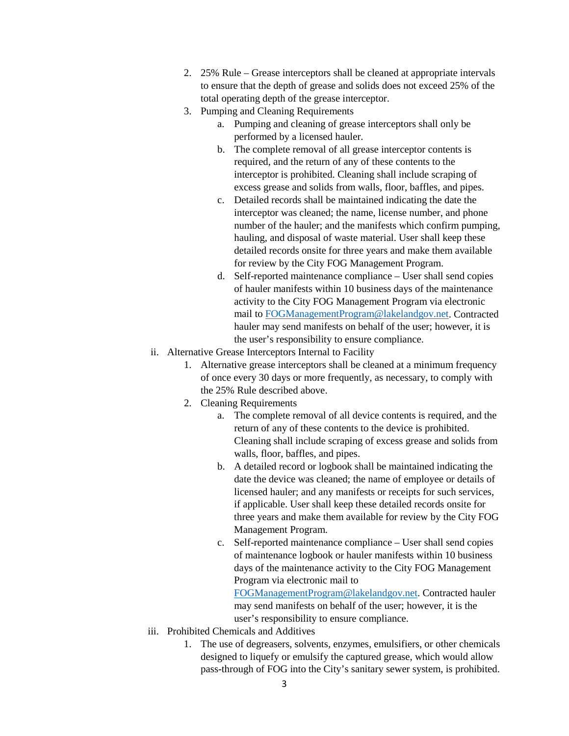- 2. 25% Rule Grease interceptors shall be cleaned at appropriate intervals to ensure that the depth of grease and solids does not exceed 25% of the total operating depth of the grease interceptor.
- 3. Pumping and Cleaning Requirements
	- a. Pumping and cleaning of grease interceptors shall only be performed by a licensed hauler.
	- b. The complete removal of all grease interceptor contents is required, and the return of any of these contents to the interceptor is prohibited. Cleaning shall include scraping of excess grease and solids from walls, floor, baffles, and pipes.
	- c. Detailed records shall be maintained indicating the date the interceptor was cleaned; the name, license number, and phone number of the hauler; and the manifests which confirm pumping, hauling, and disposal of waste material. User shall keep these detailed records onsite for three years and make them available for review by the City FOG Management Program.
	- d. Self-reported maintenance compliance User shall send copies of hauler manifests within 10 business days of the maintenance activity to the City FOG Management Program via electronic mail to [FOGManagementProgram@lakelandgov.net.](mailto:FOGManagementProgram@lakelandgov.net) Contracted hauler may send manifests on behalf of the user; however, it is the user's responsibility to ensure compliance.
- ii. Alternative Grease Interceptors Internal to Facility
	- 1. Alternative grease interceptors shall be cleaned at a minimum frequency of once every 30 days or more frequently, as necessary, to comply with the 25% Rule described above.
	- 2. Cleaning Requirements
		- a. The complete removal of all device contents is required, and the return of any of these contents to the device is prohibited. Cleaning shall include scraping of excess grease and solids from walls, floor, baffles, and pipes.
		- b. A detailed record or logbook shall be maintained indicating the date the device was cleaned; the name of employee or details of licensed hauler; and any manifests or receipts for such services, if applicable. User shall keep these detailed records onsite for three years and make them available for review by the City FOG Management Program.
		- c. Self-reported maintenance compliance User shall send copies of maintenance logbook or hauler manifests within 10 business days of the maintenance activity to the City FOG Management Program via electronic mail to

[FOGManagementProgram@lakelandgov.net.](mailto:FOGManagementProgram@lakelandgov.net) Contracted hauler may send manifests on behalf of the user; however, it is the user's responsibility to ensure compliance.

- iii. Prohibited Chemicals and Additives
	- 1. The use of degreasers, solvents, enzymes, emulsifiers, or other chemicals designed to liquefy or emulsify the captured grease, which would allow pass-through of FOG into the City's sanitary sewer system, is prohibited.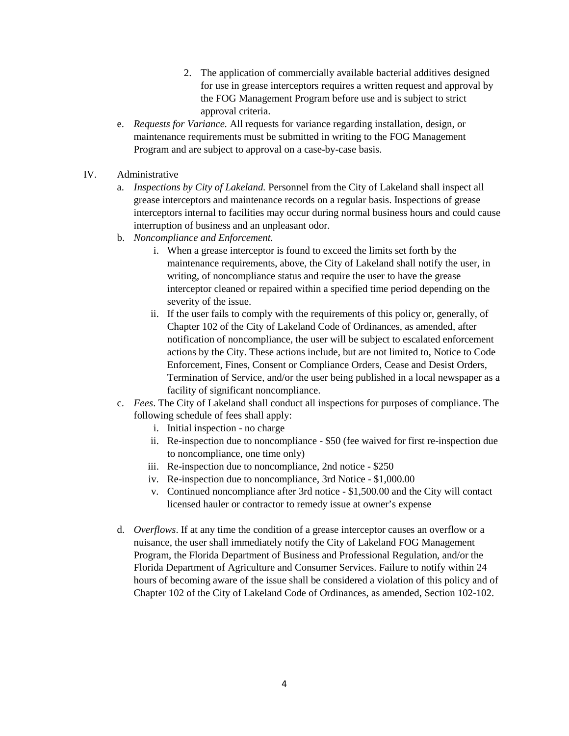- 2. The application of commercially available bacterial additives designed for use in grease interceptors requires a written request and approval by the FOG Management Program before use and is subject to strict approval criteria.
- e. *Requests for Variance.* All requests for variance regarding installation, design, or maintenance requirements must be submitted in writing to the FOG Management Program and are subject to approval on a case-by-case basis.
- IV. Administrative
	- a. *Inspections by City of Lakeland.* Personnel from the City of Lakeland shall inspect all grease interceptors and maintenance records on a regular basis. Inspections of grease interceptors internal to facilities may occur during normal business hours and could cause interruption of business and an unpleasant odor.
	- b. *Noncompliance and Enforcement.*
		- i. When a grease interceptor is found to exceed the limits set forth by the maintenance requirements, above, the City of Lakeland shall notify the user, in writing, of noncompliance status and require the user to have the grease interceptor cleaned or repaired within a specified time period depending on the severity of the issue.
		- ii. If the user fails to comply with the requirements of this policy or, generally, of Chapter 102 of the City of Lakeland Code of Ordinances, as amended, after notification of noncompliance, the user will be subject to escalated enforcement actions by the City. These actions include, but are not limited to, Notice to Code Enforcement, Fines, Consent or Compliance Orders, Cease and Desist Orders, Termination of Service, and/or the user being published in a local newspaper as a facility of significant noncompliance.
	- c. *Fees*. The City of Lakeland shall conduct all inspections for purposes of compliance. The following schedule of fees shall apply:
		- i. Initial inspection no charge
		- ii. Re-inspection due to noncompliance \$50 (fee waived for first re-inspection due to noncompliance, one time only)
		- iii. Re-inspection due to noncompliance, 2nd notice \$250
		- iv. Re-inspection due to noncompliance, 3rd Notice \$1,000.00
		- v. Continued noncompliance after 3rd notice \$1,500.00 and the City will contact licensed hauler or contractor to remedy issue at owner's expense
	- d. *Overflows*. If at any time the condition of a grease interceptor causes an overflow or a nuisance, the user shall immediately notify the City of Lakeland FOG Management Program, the Florida Department of Business and Professional Regulation, and/or the Florida Department of Agriculture and Consumer Services. Failure to notify within 24 hours of becoming aware of the issue shall be considered a violation of this policy and of Chapter 102 of the City of Lakeland Code of Ordinances, as amended, Section 102-102.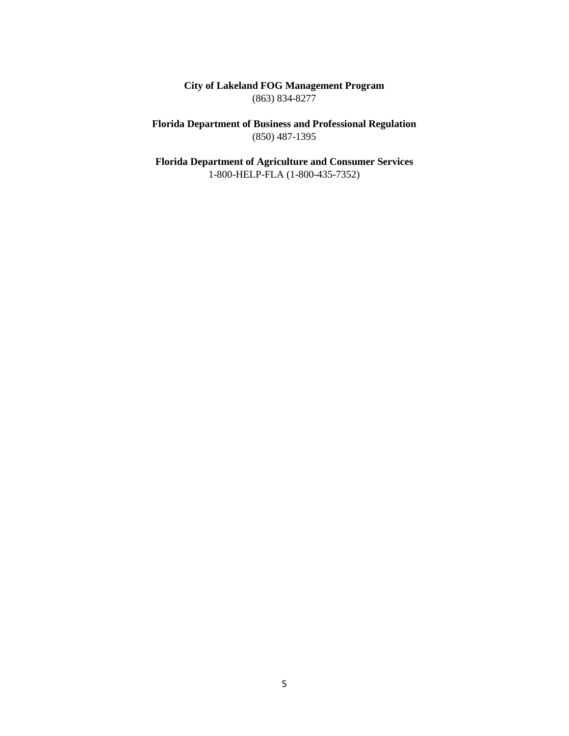**City of Lakeland FOG Management Program** (863) 834-8277

**Florida Department of Business and Professional Regulation** (850) 487-1395

**Florida Department of Agriculture and Consumer Services** 1-800-HELP-FLA (1-800-435-7352)